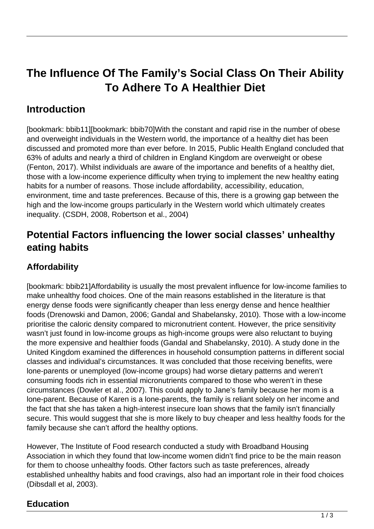# **The Influence Of The Family's Social Class On Their Ability To Adhere To A Healthier Diet**

# **Introduction**

[bookmark: bbib11][bookmark: bbib70]With the constant and rapid rise in the number of obese and overweight individuals in the Western world, the importance of a healthy diet has been discussed and promoted more than ever before. In 2015, Public Health England concluded that 63% of adults and nearly a third of children in England Kingdom are overweight or obese (Fenton, 2017). Whilst individuals are aware of the importance and benefits of a healthy diet, those with a low-income experience difficulty when trying to implement the new healthy eating habits for a number of reasons. Those include affordability, accessibility, education, environment, time and taste preferences. Because of this, there is a growing gap between the high and the low-income groups particularly in the Western world which ultimately creates inequality. (CSDH, 2008, Robertson et al., 2004)

## **Potential Factors influencing the lower social classes' unhealthy eating habits**

### **Affordability**

[bookmark: bbib21]Affordability is usually the most prevalent influence for low-income families to make unhealthy food choices. One of the main reasons established in the literature is that energy dense foods were significantly cheaper than less energy dense and hence healthier foods (Drenowski and Damon, 2006; Gandal and Shabelansky, 2010). Those with a low-income prioritise the caloric density compared to micronutrient content. However, the price sensitivity wasn't just found in low-income groups as high-income groups were also reluctant to buying the more expensive and healthier foods (Gandal and Shabelansky, 2010). A study done in the United Kingdom examined the differences in household consumption patterns in different social classes and individual's circumstances. It was concluded that those receiving benefits, were lone-parents or unemployed (low-income groups) had worse dietary patterns and weren't consuming foods rich in essential micronutrients compared to those who weren't in these circumstances (Dowler et al., 2007). This could apply to Jane's family because her mom is a lone-parent. Because of Karen is a lone-parents, the family is reliant solely on her income and the fact that she has taken a high-interest insecure loan shows that the family isn't financially secure. This would suggest that she is more likely to buy cheaper and less healthy foods for the family because she can't afford the healthy options.

However, The Institute of Food research conducted a study with Broadband Housing Association in which they found that low-income women didn't find price to be the main reason for them to choose unhealthy foods. Other factors such as taste preferences, already established unhealthy habits and food cravings, also had an important role in their food choices (Dibsdall et al, 2003).

#### **Education**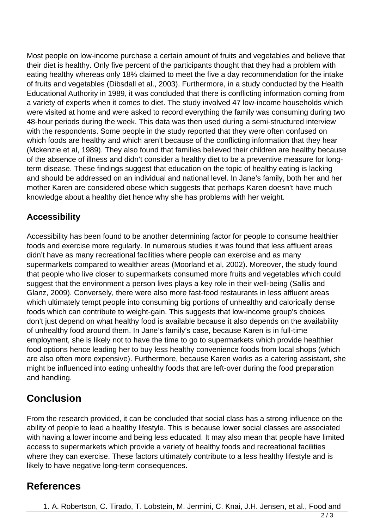Most people on low-income purchase a certain amount of fruits and vegetables and believe that their diet is healthy. Only five percent of the participants thought that they had a problem with eating healthy whereas only 18% claimed to meet the five a day recommendation for the intake of fruits and vegetables (Dibsdall et al., 2003). Furthermore, in a study conducted by the Health Educational Authority in 1989, it was concluded that there is conflicting information coming from a variety of experts when it comes to diet. The study involved 47 low-income households which were visited at home and were asked to record everything the family was consuming during two 48-hour periods during the week. This data was then used during a semi-structured interview with the respondents. Some people in the study reported that they were often confused on which foods are healthy and which aren't because of the conflicting information that they hear (Mckenzie et al, 1989). They also found that families believed their children are healthy because of the absence of illness and didn't consider a healthy diet to be a preventive measure for longterm disease. These findings suggest that education on the topic of healthy eating is lacking and should be addressed on an individual and national level. In Jane's family, both her and her mother Karen are considered obese which suggests that perhaps Karen doesn't have much knowledge about a healthy diet hence why she has problems with her weight.

#### **Accessibility**

Accessibility has been found to be another determining factor for people to consume healthier foods and exercise more regularly. In numerous studies it was found that less affluent areas didn't have as many recreational facilities where people can exercise and as many supermarkets compared to wealthier areas (Moorland et al, 2002). Moreover, the study found that people who live closer to supermarkets consumed more fruits and vegetables which could suggest that the environment a person lives plays a key role in their well-being (Sallis and Glanz, 2009). Conversely, there were also more fast-food restaurants in less affluent areas which ultimately tempt people into consuming big portions of unhealthy and calorically dense foods which can contribute to weight-gain. This suggests that low-income group's choices don't just depend on what healthy food is available because it also depends on the availability of unhealthy food around them. In Jane's family's case, because Karen is in full-time employment, she is likely not to have the time to go to supermarkets which provide healthier food options hence leading her to buy less healthy convenience foods from local shops (which are also often more expensive). Furthermore, because Karen works as a catering assistant, she might be influenced into eating unhealthy foods that are left-over during the food preparation and handling.

## **Conclusion**

From the research provided, it can be concluded that social class has a strong influence on the ability of people to lead a healthy lifestyle. This is because lower social classes are associated with having a lower income and being less educated. It may also mean that people have limited access to supermarkets which provide a variety of healthy foods and recreational facilities where they can exercise. These factors ultimately contribute to a less healthy lifestyle and is likely to have negative long-term consequences.

### **References**

1. A. Robertson, C. Tirado, T. Lobstein, M. Jermini, C. Knai, J.H. Jensen, et al., Food and